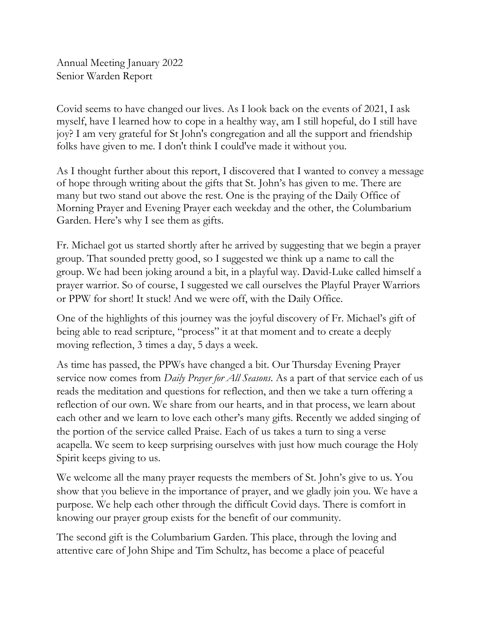Annual Meeting January 2022 Senior Warden Report

Covid seems to have changed our lives. As I look back on the events of 2021, I ask myself, have I learned how to cope in a healthy way, am I still hopeful, do I still have joy? I am very grateful for St John's congregation and all the support and friendship folks have given to me. I don't think I could've made it without you.

As I thought further about this report, I discovered that I wanted to convey a message of hope through writing about the gifts that St. John's has given to me. There are many but two stand out above the rest. One is the praying of the Daily Office of Morning Prayer and Evening Prayer each weekday and the other, the Columbarium Garden. Here's why I see them as gifts.

Fr. Michael got us started shortly after he arrived by suggesting that we begin a prayer group. That sounded pretty good, so I suggested we think up a name to call the group. We had been joking around a bit, in a playful way. David-Luke called himself a prayer warrior. So of course, I suggested we call ourselves the Playful Prayer Warriors or PPW for short! It stuck! And we were off, with the Daily Office.

One of the highlights of this journey was the joyful discovery of Fr. Michael's gift of being able to read scripture, "process" it at that moment and to create a deeply moving reflection, 3 times a day, 5 days a week.

As time has passed, the PPWs have changed a bit. Our Thursday Evening Prayer service now comes from *Daily Prayer for All Seasons*. As a part of that service each of us reads the meditation and questions for reflection, and then we take a turn offering a reflection of our own. We share from our hearts, and in that process, we learn about each other and we learn to love each other's many gifts. Recently we added singing of the portion of the service called Praise. Each of us takes a turn to sing a verse acapella. We seem to keep surprising ourselves with just how much courage the Holy Spirit keeps giving to us.

We welcome all the many prayer requests the members of St. John's give to us. You show that you believe in the importance of prayer, and we gladly join you. We have a purpose. We help each other through the difficult Covid days. There is comfort in knowing our prayer group exists for the benefit of our community.

The second gift is the Columbarium Garden. This place, through the loving and attentive care of John Shipe and Tim Schultz, has become a place of peaceful